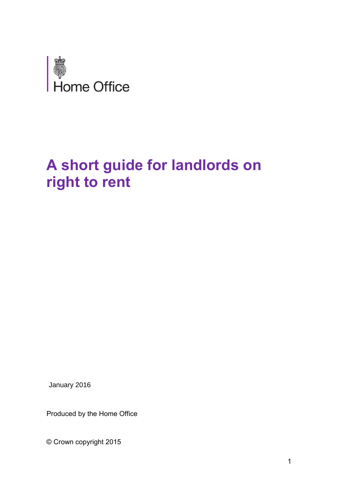

# **A short guide for landlords on right to rent**

January 2016

Produced by the Home Office

© Crown copyright 2015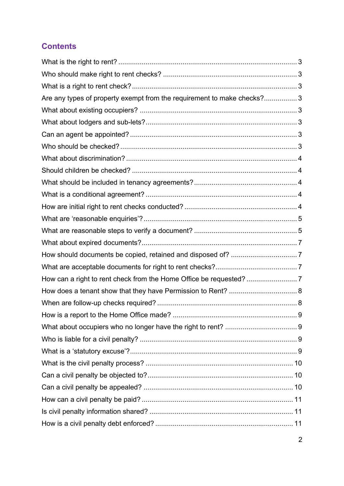# **Contents**

| Are any types of property exempt from the requirement to make checks? 3 |   |
|-------------------------------------------------------------------------|---|
|                                                                         |   |
|                                                                         |   |
|                                                                         |   |
|                                                                         |   |
|                                                                         |   |
|                                                                         |   |
|                                                                         |   |
|                                                                         |   |
|                                                                         |   |
|                                                                         |   |
|                                                                         |   |
|                                                                         |   |
|                                                                         |   |
|                                                                         |   |
|                                                                         |   |
|                                                                         |   |
|                                                                         |   |
|                                                                         | 9 |
|                                                                         |   |
|                                                                         |   |
|                                                                         |   |
|                                                                         |   |
|                                                                         |   |
|                                                                         |   |
|                                                                         |   |
|                                                                         |   |
|                                                                         |   |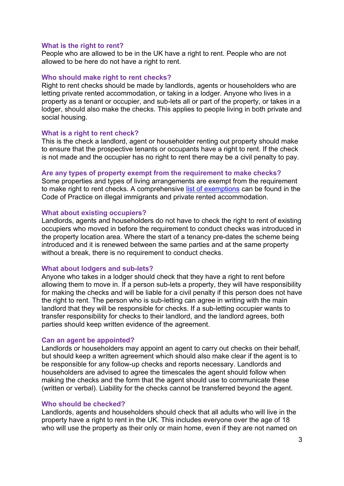#### <span id="page-2-0"></span>**What is the right to rent?**

People who are allowed to be in the UK have a right to rent. People who are not allowed to be here do not have a right to rent.

#### <span id="page-2-1"></span>**Who should make right to rent checks?**

Right to rent checks should be made by landlords, agents or householders who are letting private rented accommodation, or taking in a lodger. Anyone who lives in a property as a tenant or occupier, and sub-lets all or part of the property, or takes in a lodger, should also make the checks. This applies to people living in both private and social housing.

#### <span id="page-2-2"></span>**What is a right to rent check?**

This is the check a landlord, agent or householder renting out property should make to ensure that the prospective tenants or occupants have a right to rent. If the check is not made and the occupier has no right to rent there may be a civil penalty to pay.

#### <span id="page-2-3"></span>**Are any types of property exempt from the requirement to make checks?**

Some properties and types of living arrangements are exempt from the requirement to make right to rent checks. A comprehensive [list of exemptions](https://www.gov.uk/government/publications/right-to-rent-landlords-code-of-practice/code-of-practice-on-illegal-immigrants-and-private-rented-accommodation-for-tenancies-starting-on-or-after-1-february-2016#excluded-agreements) can be found in the Code of Practice on illegal immigrants and private rented accommodation.

#### <span id="page-2-4"></span>**What about existing occupiers?**

Landlords, agents and householders do not have to check the right to rent of existing occupiers who moved in before the requirement to conduct checks was introduced in the property location area. Where the start of a tenancy pre-dates the scheme being introduced and it is renewed between the same parties and at the same property without a break, there is no requirement to conduct checks.

#### <span id="page-2-5"></span>**What about lodgers and sub-lets?**

Anyone who takes in a lodger should check that they have a right to rent before allowing them to move in. If a person sub-lets a property, they will have responsibility for making the checks and will be liable for a civil penalty if this person does not have the right to rent. The person who is sub-letting can agree in writing with the main landlord that they will be responsible for checks. If a sub-letting occupier wants to transfer responsibility for checks to their landlord, and the landlord agrees, both parties should keep written evidence of the agreement.

#### <span id="page-2-6"></span>**Can an agent be appointed?**

Landlords or householders may appoint an agent to carry out checks on their behalf, but should keep a written agreement which should also make clear if the agent is to be responsible for any follow-up checks and reports necessary. Landlords and householders are advised to agree the timescales the agent should follow when making the checks and the form that the agent should use to communicate these (written or verbal). Liability for the checks cannot be transferred beyond the agent.

#### <span id="page-2-7"></span>**Who should be checked?**

Landlords, agents and householders should check that all adults who will live in the property have a right to rent in the UK. This includes everyone over the age of 18 who will use the property as their only or main home, even if they are not named on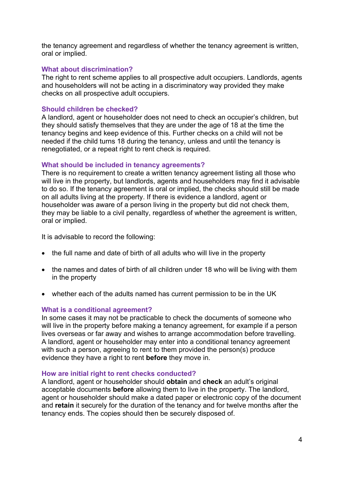the tenancy agreement and regardless of whether the tenancy agreement is written, oral or implied.

# <span id="page-3-0"></span>**What about discrimination?**

The right to rent scheme applies to all prospective adult occupiers. Landlords, agents and householders will not be acting in a discriminatory way provided they make checks on all prospective adult occupiers.

# <span id="page-3-1"></span>**Should children be checked?**

A landlord, agent or householder does not need to check an occupier's children, but they should satisfy themselves that they are under the age of 18 at the time the tenancy begins and keep evidence of this. Further checks on a child will not be needed if the child turns 18 during the tenancy, unless and until the tenancy is renegotiated, or a repeat right to rent check is required.

# <span id="page-3-2"></span>**What should be included in tenancy agreements?**

There is no requirement to create a written tenancy agreement listing all those who will live in the property, but landlords, agents and householders may find it advisable to do so. If the tenancy agreement is oral or implied, the checks should still be made on all adults living at the property. If there is evidence a landlord, agent or householder was aware of a person living in the property but did not check them, they may be liable to a civil penalty, regardless of whether the agreement is written, oral or implied.

It is advisable to record the following:

- the full name and date of birth of all adults who will live in the property
- the names and dates of birth of all children under 18 who will be living with them in the property
- whether each of the adults named has current permission to be in the UK

#### <span id="page-3-3"></span>**What is a conditional agreement?**

In some cases it may not be practicable to check the documents of someone who will live in the property before making a tenancy agreement, for example if a person lives overseas or far away and wishes to arrange accommodation before travelling. A landlord, agent or householder may enter into a conditional tenancy agreement with such a person, agreeing to rent to them provided the person(s) produce evidence they have a right to rent **before** they move in.

#### <span id="page-3-4"></span>**How are initial right to rent checks conducted?**

A landlord, agent or householder should **obtain** and **check** an adult's original acceptable documents **before** allowing them to live in the property. The landlord, agent or householder should make a dated paper or electronic copy of the document and **retain** it securely for the duration of the tenancy and for twelve months after the tenancy ends. The copies should then be securely disposed of.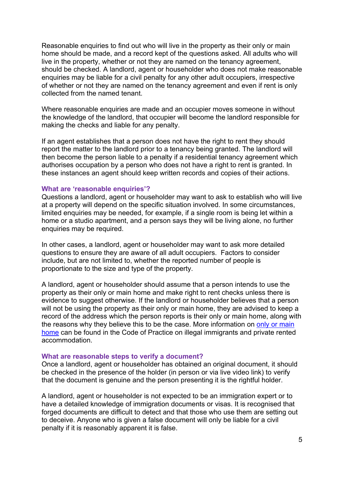Reasonable enquiries to find out who will live in the property as their only or main home should be made, and a record kept of the questions asked. All adults who will live in the property, whether or not they are named on the tenancy agreement, should be checked. A landlord, agent or householder who does not make reasonable enquiries may be liable for a civil penalty for any other adult occupiers, irrespective of whether or not they are named on the tenancy agreement and even if rent is only collected from the named tenant.

Where reasonable enquiries are made and an occupier moves someone in without the knowledge of the landlord, that occupier will become the landlord responsible for making the checks and liable for any penalty.

If an agent establishes that a person does not have the right to rent they should report the matter to the landlord prior to a tenancy being granted. The landlord will then become the person liable to a penalty if a residential tenancy agreement which authorises occupation by a person who does not have a right to rent is granted. In these instances an agent should keep written records and copies of their actions.

#### <span id="page-4-0"></span>**What are 'reasonable enquiries'?**

Questions a landlord, agent or householder may want to ask to establish who will live at a property will depend on the specific situation involved. In some circumstances, limited enquiries may be needed, for example, if a single room is being let within a home or a studio apartment, and a person says they will be living alone, no further enquiries may be required.

In other cases, a landlord, agent or householder may want to ask more detailed questions to ensure they are aware of all adult occupiers. Factors to consider include, but are not limited to, whether the reported number of people is proportionate to the size and type of the property.

A landlord, agent or householder should assume that a person intends to use the property as their only or main home and make right to rent checks unless there is evidence to suggest otherwise. If the landlord or householder believes that a person will not be using the property as their only or main home, they are advised to keep a record of the address which the person reports is their only or main home, along with the reasons why they believe this to be the case. More information on [only or main](https://www.gov.uk/government/publications/right-to-rent-landlords-code-of-practice/code-of-practice-on-illegal-immigrants-and-private-rented-accommodation-for-tenancies-starting-on-or-after-1-february-2016#property-for-use-as-an-only-or-main-home)  [home](https://www.gov.uk/government/publications/right-to-rent-landlords-code-of-practice/code-of-practice-on-illegal-immigrants-and-private-rented-accommodation-for-tenancies-starting-on-or-after-1-february-2016#property-for-use-as-an-only-or-main-home) can be found in the Code of Practice on illegal immigrants and private rented accommodation.

#### <span id="page-4-1"></span>**What are reasonable steps to verify a document?**

Once a landlord, agent or householder has obtained an original document, it should be checked in the presence of the holder (in person or via live video link) to verify that the document is genuine and the person presenting it is the rightful holder.

A landlord, agent or householder is not expected to be an immigration expert or to have a detailed knowledge of immigration documents or visas. It is recognised that forged documents are difficult to detect and that those who use them are setting out to deceive. Anyone who is given a false document will only be liable for a civil penalty if it is reasonably apparent it is false.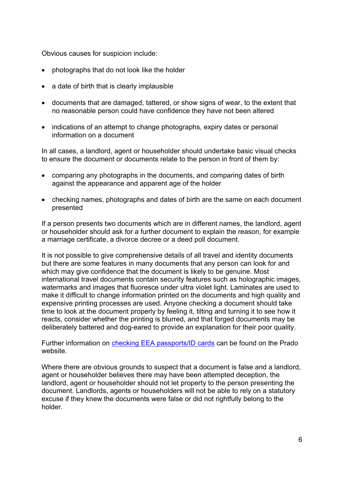Obvious causes for suspicion include:

- photographs that do not look like the holder
- a date of birth that is clearly implausible
- documents that are damaged, tattered, or show signs of wear, to the extent that no reasonable person could have confidence they have not been altered
- indications of an attempt to change photographs, expiry dates or personal information on a document

In all cases, a landlord, agent or householder should undertake basic visual checks to ensure the document or documents relate to the person in front of them by:

- comparing any photographs in the documents, and comparing dates of birth against the appearance and apparent age of the holder
- checking names, photographs and dates of birth are the same on each document presented

If a person presents two documents which are in different names, the landlord, agent or householder should ask for a further document to explain the reason, for example a marriage certificate, a divorce decree or a deed poll document.

It is not possible to give comprehensive details of all travel and identity documents but there are some features in many documents that any person can look for and which may give confidence that the document is likely to be genuine. Most international travel documents contain security features such as holographic images, watermarks and images that fluoresce under ultra violet light. Laminates are used to make it difficult to change information printed on the documents and high quality and expensive printing processes are used. Anyone checking a document should take time to look at the document properly by feeling it, tilting and turning it to see how it reacts, consider whether the printing is blurred, and that forged documents may be deliberately battered and dog-eared to provide an explanation for their poor quality.

Further information on [checking EEA passports/ID cards](http://prado.consilium.europa.eu/EN/homeIndex.html) can be found on the Prado website.

Where there are obvious grounds to suspect that a document is false and a landlord, agent or householder believes there may have been attempted deception, the landlord, agent or householder should not let property to the person presenting the document. Landlords, agents or householders will not be able to rely on a statutory excuse if they knew the documents were false or did not rightfully belong to the holder.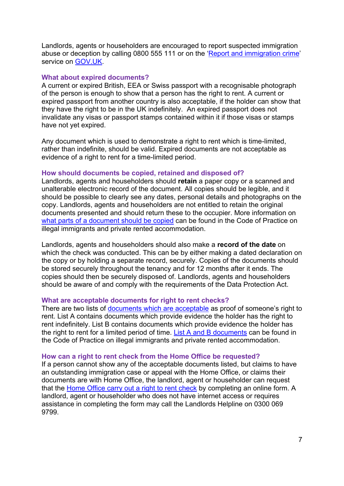Landlords, agents or householders are encouraged to report suspected immigration abuse or deception by calling 0800 555 111 or on the ['Report and immigration crime'](http://www.gov.uk/report-immigration-crime)  service on [GOV.UK.](http://www.gov.uk/)

#### <span id="page-6-0"></span>**What about expired documents?**

A current or expired British, EEA or Swiss passport with a recognisable photograph of the person is enough to show that a person has the right to rent. A current or expired passport from another country is also acceptable, if the holder can show that they have the right to be in the UK indefinitely. An expired passport does not invalidate any visas or passport stamps contained within it if those visas or stamps have not yet expired.

Any document which is used to demonstrate a right to rent which is time-limited, rather than indefinite, should be valid. Expired documents are not acceptable as evidence of a right to rent for a time-limited period.

#### <span id="page-6-1"></span>**How should documents be copied, retained and disposed of?**

Landlords, agents and householders should **retain** a paper copy or a scanned and unalterable electronic record of the document. All copies should be legible, and it should be possible to clearly see any dates, personal details and photographs on the copy. Landlords, agents and householders are not entitled to retain the original documents presented and should return these to the occupier. More information on [what parts of a document should be copied](https://www.gov.uk/government/publications/right-to-rent-landlords-code-of-practice/code-of-practice-on-illegal-immigrants-and-private-rented-accommodation-for-tenancies-starting-on-or-after-1-february-2016#initial-right-to-rent-checks) can be found in the Code of Practice on illegal immigrants and private rented accommodation.

Landlords, agents and householders should also make a **record of the date** on which the check was conducted. This can be by either making a dated declaration on the copy or by holding a separate record, securely. Copies of the documents should be stored securely throughout the tenancy and for 12 months after it ends. The copies should then be securely disposed of. Landlords, agents and householders should be aware of and comply with the requirements of the Data Protection Act.

#### <span id="page-6-2"></span>**What are acceptable documents for right to rent checks?**

There are two lists of [documents which are acceptable](https://www.gov.uk/government/publications/right-to-rent-landlords-code-of-practice/code-of-practice-on-illegal-immigrants-and-private-rented-accommodation-for-tenancies-starting-on-or-after-1-february-2016#acceptable-documents) as proof of someone's right to rent. List A contains documents which provide evidence the holder has the right to rent indefinitely. List B contains documents which provide evidence the holder has the right to rent for a limited period of time. [List A and B documents](https://www.gov.uk/government/publications/right-to-rent-landlords-code-of-practice/code-of-practice-on-illegal-immigrants-and-private-rented-accommodation-for-tenancies-starting-on-or-after-1-february-2016#acceptable-documents) can be found in the Code of Practice on illegal immigrants and private rented accommodation.

#### <span id="page-6-3"></span>**How can a right to rent check from the Home Office be requested?**

If a person cannot show any of the acceptable documents listed, but claims to have an outstanding immigration case or appeal with the Home Office, or claims their documents are with Home Office, the landlord, agent or householder can request that the [Home Office carry out a right to rent check](https://eforms.homeoffice.gov.uk/outreach/lcs-application.ofml) by completing an online form. A landlord, agent or householder who does not have internet access or requires assistance in completing the form may call the Landlords Helpline on 0300 069 9799.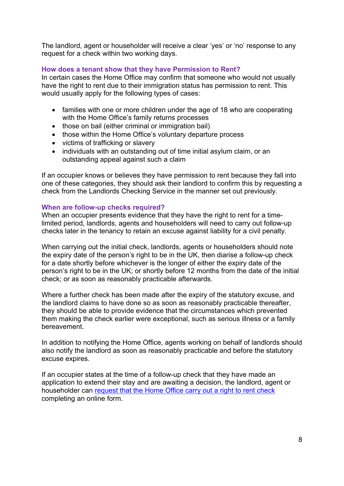The landlord, agent or householder will receive a clear 'yes' or 'no' response to any request for a check within two working days.

# <span id="page-7-0"></span>**How does a tenant show that they have Permission to Rent?**

In certain cases the Home Office may confirm that someone who would not usually have the right to rent due to their immigration status has permission to rent. This would usually apply for the following types of cases:

- families with one or more children under the age of 18 who are cooperating with the Home Office's family returns processes
- those on bail (either criminal or immigration bail)
- those within the Home Office's voluntary departure process
- victims of trafficking or slavery
- individuals with an outstanding out of time initial asylum claim, or an outstanding appeal against such a claim

If an occupier knows or believes they have permission to rent because they fall into one of these categories, they should ask their landlord to confirm this by requesting a check from the Landlords Checking Service in the manner set out previously.

# <span id="page-7-1"></span>**When are follow-up checks required?**

When an occupier presents evidence that they have the right to rent for a timelimited period, landlords, agents and householders will need to carry out follow-up checks later in the tenancy to retain an excuse against liability for a civil penalty.

When carrying out the initial check, landlords, agents or householders should note the expiry date of the person's right to be in the UK, then diarise a follow-up check for a date shortly before whichever is the longer of either the expiry date of the person's right to be in the UK; or shortly before 12 months from the date of the initial check; or as soon as reasonably practicable afterwards.

Where a further check has been made after the expiry of the statutory excuse, and the landlord claims to have done so as soon as reasonably practicable thereafter, they should be able to provide evidence that the circumstances which prevented them making the check earlier were exceptional, such as serious illness or a family bereavement.

In addition to notifying the Home Office, agents working on behalf of landlords should also notify the landlord as soon as reasonably practicable and before the statutory excuse expires.

If an occupier states at the time of a follow-up check that they have made an application to extend their stay and are awaiting a decision, the landlord, agent or householder can [request that the Home Office carry out a right to rent check](https://eforms.homeoffice.gov.uk/outreach/lcs-application.ofml) completing an online form.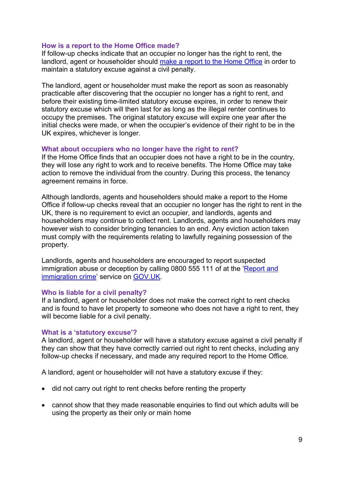# <span id="page-8-0"></span>**How is a report to the Home Office made?**

If follow-up checks indicate that an occupier no longer has the right to rent, the landlord, agent or householder should [make a report to the Home Office](https://eforms.homeoffice.gov.uk/outreach/lcs-reporting.ofml) in order to maintain a statutory excuse against a civil penalty.

The landlord, agent or householder must make the report as soon as reasonably practicable after discovering that the occupier no longer has a right to rent, and before their existing time-limited statutory excuse expires, in order to renew their statutory excuse which will then last for as long as the illegal renter continues to occupy the premises. The original statutory excuse will expire one year after the initial checks were made, or when the occupier's evidence of their right to be in the UK expires, whichever is longer.

#### <span id="page-8-1"></span>**What about occupiers who no longer have the right to rent?**

If the Home Office finds that an occupier does not have a right to be in the country, they will lose any right to work and to receive benefits. The Home Office may take action to remove the individual from the country. During this process, the tenancy agreement remains in force.

Although landlords, agents and householders should make a report to the Home Office if follow-up checks reveal that an occupier no longer has the right to rent in the UK, there is no requirement to evict an occupier, and landlords, agents and householders may continue to collect rent. Landlords, agents and householders may however wish to consider bringing tenancies to an end. Any eviction action taken must comply with the requirements relating to lawfully regaining possession of the property.

Landlords, agents and householders are encouraged to report suspected immigration abuse or deception by calling 0800 555 111 of at the 'Report and [immigration crime'](http://www.gov.uk/report-immigration-crime) service on [GOV.UK.](http://www.gov.uk/)

#### <span id="page-8-2"></span>**Who is liable for a civil penalty?**

If a landlord, agent or householder does not make the correct right to rent checks and is found to have let property to someone who does not have a right to rent, they will become liable for a civil penalty.

#### <span id="page-8-3"></span>**What is a 'statutory excuse'?**

A landlord, agent or householder will have a statutory excuse against a civil penalty if they can show that they have correctly carried out right to rent checks, including any follow-up checks if necessary, and made any required report to the Home Office.

A landlord, agent or householder will not have a statutory excuse if they:

- did not carry out right to rent checks before renting the property
- cannot show that they made reasonable enquiries to find out which adults will be using the property as their only or main home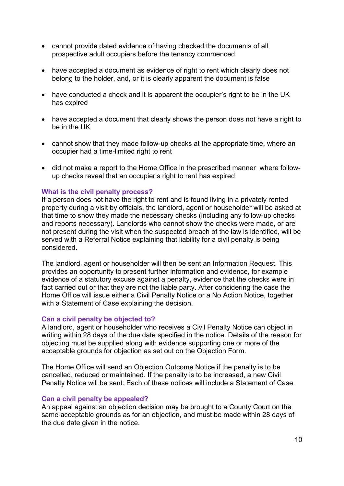- cannot provide dated evidence of having checked the documents of all prospective adult occupiers before the tenancy commenced
- have accepted a document as evidence of right to rent which clearly does not belong to the holder, and, or it is clearly apparent the document is false
- have conducted a check and it is apparent the occupier's right to be in the UK has expired
- have accepted a document that clearly shows the person does not have a right to be in the UK
- cannot show that they made follow-up checks at the appropriate time, where an occupier had a time-limited right to rent
- did not make a report to the Home Office in the prescribed manner where followup checks reveal that an occupier's right to rent has expired

# <span id="page-9-0"></span>**What is the civil penalty process?**

If a person does not have the right to rent and is found living in a privately rented property during a visit by officials, the landlord, agent or householder will be asked at that time to show they made the necessary checks (including any follow-up checks and reports necessary). Landlords who cannot show the checks were made, or are not present during the visit when the suspected breach of the law is identified, will be served with a Referral Notice explaining that liability for a civil penalty is being considered.

The landlord, agent or householder will then be sent an Information Request. This provides an opportunity to present further information and evidence, for example evidence of a statutory excuse against a penalty, evidence that the checks were in fact carried out or that they are not the liable party. After considering the case the Home Office will issue either a Civil Penalty Notice or a No Action Notice, together with a Statement of Case explaining the decision.

#### <span id="page-9-1"></span>**Can a civil penalty be objected to?**

A landlord, agent or householder who receives a Civil Penalty Notice can object in writing within 28 days of the due date specified in the notice. Details of the reason for objecting must be supplied along with evidence supporting one or more of the acceptable grounds for objection as set out on the Objection Form.

The Home Office will send an Objection Outcome Notice if the penalty is to be cancelled, reduced or maintained. If the penalty is to be increased, a new Civil Penalty Notice will be sent. Each of these notices will include a Statement of Case.

#### <span id="page-9-2"></span>**Can a civil penalty be appealed?**

An appeal against an objection decision may be brought to a County Court on the same acceptable grounds as for an objection, and must be made within 28 days of the due date given in the notice.